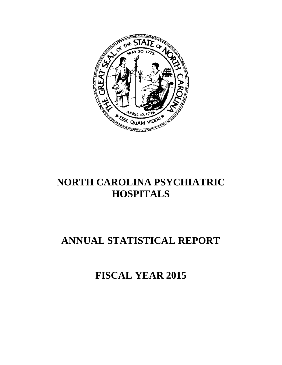

## **NORTH CAROLINA PSYCHIATRIC HOSPITALS**

# **ANNUAL STATISTICAL REPORT**

**FISCAL YEAR 2015**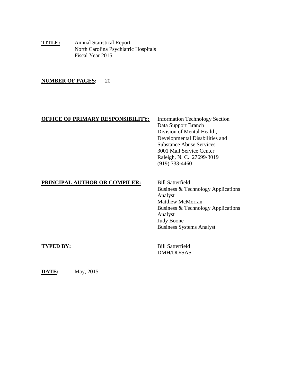**TITLE:** Annual Statistical Report North Carolina Psychiatric Hospitals Fiscal Year 2015

## **NUMBER OF PAGES:** 20

## **OFFICE OF PRIMARY RESPONSIBILITY:** Information Technology Section

Data Support Branch Division of Mental Health, Developmental Disabilities and Substance Abuse Services 3001 Mail Service Center Raleigh, N. C. 27699-3019 (919) 733-4460

## **PRINCIPAL AUTHOR OR COMPILER:** Bill Satterfield

Business & Technology Applications Analyst Matthew McMorran Business & Technology Applications Analyst Judy Boone Business Systems Analyst

**TYPED BY:** Bill Satterfield DMH/DD/SAS

**DATE:** May, 2015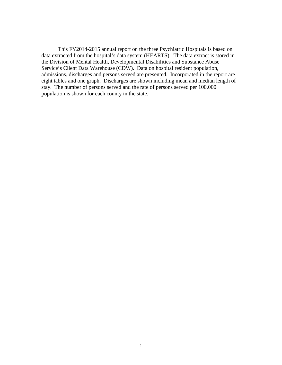This FY2014-2015 annual report on the three Psychiatric Hospitals is based on data extracted from the hospital's data system (HEARTS). The data extract is stored in the Division of Mental Health, Developmental Disabilities and Substance Abuse Service's Client Data Warehouse (CDW). Data on hospital resident population, admissions, discharges and persons served are presented. Incorporated in the report are eight tables and one graph. Discharges are shown including mean and median length of stay. The number of persons served and the rate of persons served per 100,000 population is shown for each county in the state.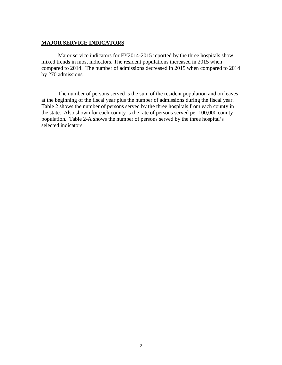## **MAJOR SERVICE INDICATORS**

Major service indicators for FY2014-2015 reported by the three hospitals show mixed trends in most indicators. The resident populations increased in 2015 when compared to 2014. The number of admissions decreased in 2015 when compared to 2014 by 270 admissions.

The number of persons served is the sum of the resident population and on leaves at the beginning of the fiscal year plus the number of admissions during the fiscal year. Table 2 shows the number of persons served by the three hospitals from each county in the state. Also shown for each county is the rate of persons served per 100,000 county population. Table 2-A shows the number of persons served by the three hospital's selected indicators.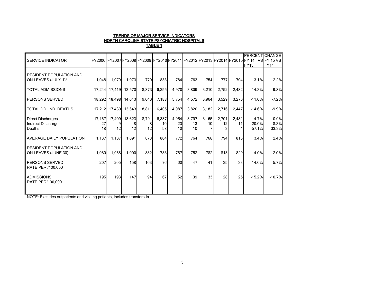#### TRENDS OF MAJOR SERVICE INDICATORS NORTH CAROLINA STATE PSYCHIATRIC HOSPITALS <u>TABLE 1</u>

| <b>SERVICE INDICATOR</b>                                  |          |                     |               |                  |                   |                   |                                |             |                  |                 | PERCENT CHANGE<br>FY2006 FY2007 FY2008 FY2009 FY2010 FY2011 FY2012 FY2013 FY2014 FY2015 FY 14 VS FY 15 VS |                              |
|-----------------------------------------------------------|----------|---------------------|---------------|------------------|-------------------|-------------------|--------------------------------|-------------|------------------|-----------------|-----------------------------------------------------------------------------------------------------------|------------------------------|
|                                                           |          |                     |               |                  |                   |                   |                                |             |                  |                 | <b>FY13</b>                                                                                               | FY <sub>14</sub>             |
| <b>RESIDENT POPULATION AND</b><br>ON LEAVES (JULY 1)*     | 1,048    | 1,079               | 1,073         | 770              | 833               | 784               | 763                            | 754         | 777              | 794             | 3.1%                                                                                                      | 2.2%                         |
|                                                           |          |                     |               |                  |                   |                   |                                |             |                  |                 |                                                                                                           |                              |
| TOTAL ADMISSIONS                                          | 17.244   |                     | 17,419 13,570 | 8,873            | 6,355             | 4,970             | 3,809                          | 3,210       | 2,752            | 2,482           | $-14.3%$                                                                                                  | $-9.8%$                      |
| PERSONS SERVED                                            | 18,292   | 18,498              | 14,643        | 9,643            | 7,188             | 5,754             | 4,572                          | 3,964       | 3,529            | 3,276           | $-11.0%$                                                                                                  | $-7.2%$                      |
| TOTAL DD, IND, DEATHS                                     | 17.212   | 17.430              | 13,643        | 8,811            | 6,405             | 4,987             | 3,820                          | 3,182       | 2,716            | 2.447           | $-14.6%$                                                                                                  | $-9.9%$                      |
| <b>Direct Discharges</b><br>Indirect Discharges<br>Deaths | 27<br>18 | 17,167 17,409<br>12 | 13,623<br>12  | 8,791<br>8<br>12 | 6,337<br>10<br>58 | 4,954<br>23<br>10 | 3,797<br>13<br>10 <sup>1</sup> | 3,165<br>10 | 2,701<br>12<br>3 | 2,432<br>11     | $-14.7%$<br>20.0%<br>$-57.1%$                                                                             | $-10.0%$<br>$-8.3%$<br>33.3% |
| AVERAGE DAILY POPULATION                                  | 1,137    | 1,137               | 1,091         | 878              | 864               | 772               | 764                            | 768         | 794              | 813             | 3.4%                                                                                                      | 2.4%                         |
| <b>RESIDENT POPULATION AND</b><br>ON LEAVES (JUNE 30)     | 1,080    | 1,068               | 1,000         | 832              | 783               | 767               | 752                            | 782         | 813              | 829             | 4.0%                                                                                                      | 2.0%                         |
| PERSONS SERVED<br>RATE PER /100,000                       | 207      | 205                 | 158           | 103              | 76                | 60                | 47                             | 41          | 35               | 33 <sup>1</sup> | $-14.6%$                                                                                                  | $-5.7%$                      |
| <b>ADMISSIONS</b><br>RATE PER/100,000                     | 195      | 193                 | 147           | 94               | 67                | 52                | 39                             | 33          | 28               | 25              | $-15.2%$                                                                                                  | $-10.7%$                     |
|                                                           |          |                     |               |                  |                   |                   |                                |             |                  |                 |                                                                                                           |                              |

NOTE: Excludes outpatients and visiting patients, includes transfers-in.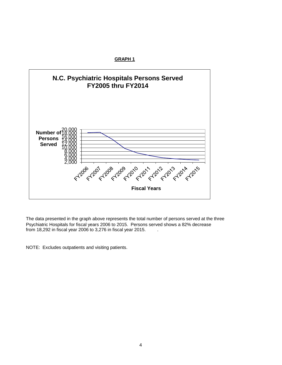**GRAPH 1**



The data presented in the graph above represents the total number of persons served at the three Psychiatric Hospitals for fiscal years 2006 to 2015. Persons served shows a 82% decrease from 18,292 in fiscal year 2006 to 3,276 in fiscal year 2015. .

NOTE: Excludes outpatients and visiting patients.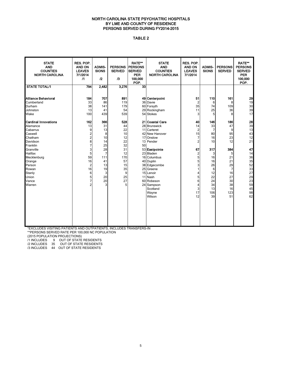#### NORTH CAROLINA STATE PSYCHIATRIC HOSPITALS BY LME AND COUNTY OF RESIDENCE PERSONS SERVED DURING FY2014-2015

### TABLE 2

| <b>STATE</b><br><b>AND</b><br><b>COUNTIES</b><br><b>NORTH CAROLINA</b>                                                                                                                                             | RES. POP.<br><b>AND ON</b><br><b>LEAVES</b><br>7/1/2014<br>$\sqrt{1}$                                                                       | <b>ADMIS-</b><br><b>SIONS</b><br>$\mathbf{r}$                                                                 | <b>PERSONS</b><br><b>SERVED</b><br>/3                                                              | <b>RATE**</b><br><b>PERSONS</b><br><b>SERVED</b><br><b>PER</b><br>100,000<br>POP. | <b>STATE</b><br><b>AND</b><br><b>COUNTIES</b><br><b>NORTH CAROLINA</b>                                                                                                                                                                                            | RES. POP.<br>AND ON<br><b>LEAVES</b><br>7/1/2014                                                                                                               | <b>ADMIS-</b><br><b>SIONS</b>                                                                                               | <b>PERSONS</b><br><b>SERVED</b>                                                                                | <b>RATE**</b><br><b>PERSONS</b><br><b>SERVED</b><br><b>PER</b><br>100,000<br>POP.                              |
|--------------------------------------------------------------------------------------------------------------------------------------------------------------------------------------------------------------------|---------------------------------------------------------------------------------------------------------------------------------------------|---------------------------------------------------------------------------------------------------------------|----------------------------------------------------------------------------------------------------|-----------------------------------------------------------------------------------|-------------------------------------------------------------------------------------------------------------------------------------------------------------------------------------------------------------------------------------------------------------------|----------------------------------------------------------------------------------------------------------------------------------------------------------------|-----------------------------------------------------------------------------------------------------------------------------|----------------------------------------------------------------------------------------------------------------|----------------------------------------------------------------------------------------------------------------|
| <b>STATE TOTAL/1</b>                                                                                                                                                                                               | 794                                                                                                                                         | 2,482                                                                                                         | 3,276                                                                                              | $\overline{33}$                                                                   |                                                                                                                                                                                                                                                                   |                                                                                                                                                                |                                                                                                                             |                                                                                                                |                                                                                                                |
| Alliance Behavioral<br>Cumberland<br>Durham<br>Johnston<br>Wake                                                                                                                                                    | 184<br>33<br>38<br>13<br>100                                                                                                                | 707<br>86<br>141<br>41<br>439                                                                                 | 891<br>119<br>179<br>54<br>539                                                                     | 36                                                                                | 49 Centerpoint<br>Davie<br>60 Forsyth<br>29 Rockingham<br>54 Stokes                                                                                                                                                                                               | 51<br>$\overline{c}$<br>35<br>11<br>3                                                                                                                          | 110<br>6<br>74<br>25<br>5                                                                                                   | 161<br>8<br>109<br>36<br>8                                                                                     | 29<br>19<br>30<br>39<br>17                                                                                     |
| <b>Cardinal Innovations</b><br>Alamance<br>Cabarrus<br>Caswell<br>Chatham<br>Davidson<br>Franklin<br>Granville<br>Halifax<br>Mecklenburg<br>Orange<br>Person<br>Rowan<br>Stanly<br><b>Jnion</b><br>Vance<br>Warren | 162<br>13<br>9<br>$\overline{c}$<br>$\overline{c}$<br>8<br>7<br>3<br>5<br>59<br>16<br>$\overline{2}$<br>16<br>6<br>5<br>7<br>$\overline{2}$ | 366<br>31<br>13<br>8<br>10<br>14<br>25<br>28<br>$\overline{7}$<br>111<br>41<br>13<br>19<br>3<br>20<br>20<br>3 | 528<br>44<br>22<br>10<br>12<br>22<br>32<br>31<br>12<br>170<br>57<br>15<br>35<br>9<br>25<br>27<br>5 | 50<br>38                                                                          | 21 Coastal Care<br>28 Brunswick<br>11 Carteret<br>42 New Hanover<br>17 Onslow<br>13 Pender<br>53 Eastpointe<br>23 Bladen<br>16 Columbus<br>40 Duplin<br>Edgecombe<br>25 Greene<br>15 Lenoir<br>11 Nash<br>60 Robeson<br>24 Sampson<br>Scotland<br>Wayne<br>Wilson | 40<br>14<br>$\overline{2}$<br>15<br>$\overline{7}$<br>$\overline{c}$<br>67<br>$\overline{\mathbf{c}}$<br>5<br>5<br>3<br>1<br>4<br>5<br>6<br>4<br>3<br>17<br>12 | 146<br>33<br>$\overline{7}$<br>80<br>16<br>10<br>317<br>3<br>16<br>16<br>26<br>6<br>12<br>22<br>24<br>34<br>13<br>106<br>39 | 186<br>47<br>9<br>95<br>23<br>12<br>384<br>5<br>21<br>21<br>29<br>7<br>16<br>27<br>30<br>38<br>16<br>123<br>51 | 28<br>39<br>13<br>43<br>12<br>21<br>47<br>14<br>36<br>35<br>52<br>33<br>27<br>29<br>23<br>59<br>45<br>98<br>62 |

 \*EXCLUDES VISITING PATIENTS AND OUTPATIENTS, INCLUDES TRANSFERS-IN \*\*PERSONS SERVED RATE PER 100,000 NC POPULATION

(2015 POPULATION PROJECTIONS)

/1 INCLUDES 9 OUT OF STATE RESIDENTS

/2 INCLUDES 35 OUT OF STATE RESIDENTS

/3 INCLUDES 44 OUT OF STATE RESIDENTS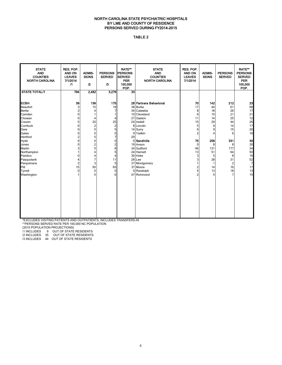#### NORTH CAROLINA STATE PSYCHIATRIC HOSPITALS BY LME AND COUNTY OF RESIDENCE PERSONS SERVED DURING FY2014-2015

#### TABLE 2

| <b>STATE</b><br><b>AND</b><br><b>COUNTIES</b><br><b>NORTH CAROLINA</b>                                                                                                                                               | RES. POP.<br>AND ON<br><b>LEAVES</b><br>7/1/2014<br>$\sqrt{1}$                                                                                                                                   | <b>ADMIS-</b><br><b>SIONS</b><br>$\mathbf{r}$                                                                                       | <b>PERSONS</b><br><b>SERVED</b><br>$\sqrt{3}$                                                                              | <b>RATE**</b><br><b>PERSONS</b><br><b>SERVED</b><br><b>PER</b><br>100,000<br>POP. | <b>STATE</b><br><b>AND</b><br><b>COUNTIES</b><br><b>NORTH CAROLINA</b>                                                                                                                                                                                                  | RES. POP.<br>AND ON<br><b>LEAVES</b><br>7/1/2014                                                                                                 | <b>ADMIS-</b><br><b>SIONS</b>                                                                                         | <b>PERSONS</b><br><b>SERVED</b>                                                                                                        | <b>RATE**</b><br><b>PERSONS</b><br><b>SERVED</b><br><b>PER</b><br>100,000<br>POP.                                          |
|----------------------------------------------------------------------------------------------------------------------------------------------------------------------------------------------------------------------|--------------------------------------------------------------------------------------------------------------------------------------------------------------------------------------------------|-------------------------------------------------------------------------------------------------------------------------------------|----------------------------------------------------------------------------------------------------------------------------|-----------------------------------------------------------------------------------|-------------------------------------------------------------------------------------------------------------------------------------------------------------------------------------------------------------------------------------------------------------------------|--------------------------------------------------------------------------------------------------------------------------------------------------|-----------------------------------------------------------------------------------------------------------------------|----------------------------------------------------------------------------------------------------------------------------------------|----------------------------------------------------------------------------------------------------------------------------|
| <b>STATE TOTAL/1</b>                                                                                                                                                                                                 | 794                                                                                                                                                                                              | 2,482                                                                                                                               | 3,276                                                                                                                      | $\overline{33}$                                                                   |                                                                                                                                                                                                                                                                         |                                                                                                                                                  |                                                                                                                       |                                                                                                                                        |                                                                                                                            |
| ЕСВН<br>Beaufort<br>Bertie<br>Camden<br>Chowan<br>Craven<br>Currituck<br>Dare<br>Gates<br>Hertford<br>Hyde<br>Jones<br>Martin<br>Northampton<br>Pamlico<br>Pasquotank<br>Perquimans<br>Pitt<br>Tyrrell<br>Washington | 39<br>3<br>3<br>0<br>$\mathbf 0$<br>5<br>$\Omega$<br>$\mathbf 0$<br>$\mathbf 0$<br>$\overline{2}$<br>$\mathbf 0$<br>$\Omega$<br>3<br>1<br>$\Omega$<br>4<br>$\overline{2}$<br>15<br>$\Omega$<br>1 | 136<br>15<br>4<br>1<br>4<br>20<br>$\overline{\mathbf{c}}$<br>5<br>0<br>5<br>0<br>2<br>5<br>4<br>4<br>7<br>3<br>50<br>$\pmb{0}$<br>5 | 175<br>18<br>7<br>1<br>4<br>25<br>$\mathbf 2$<br>5<br>0<br>7<br>0<br>2<br>8<br>5<br>4<br>11<br>5<br>65<br>$\mathbf 0$<br>6 | 29                                                                                | 28 Partners Behavioral<br>38 Burke<br>34 Catawba<br>10 Cleveland<br>27 Gaston<br>24 Iredell<br>8 Lincoln<br>14 Surry<br>0 Yadkin<br>0 Sandhills<br>19 Anson<br>34 Guilford<br>24 Harnett<br>30 Hoke<br>28 Lee<br>37 Montgomery<br>37 Moore<br>0 Randolph<br>47 Richmond | 70<br>17<br>8<br>6<br>11<br>15<br>5<br>6<br>$\overline{2}$<br>75<br>$\Omega$<br>46<br>13<br>3<br>3<br>1<br>$\overline{2}$<br>5<br>$\overline{2}$ | 142<br>44<br>18<br>15<br>14<br>29<br>9<br>9<br>4<br>256<br>8<br>131<br>51<br>5<br>28<br>$\mathbf{1}$<br>14<br>13<br>5 | 212<br>61<br>26<br>21<br>25<br>44<br>14<br>15<br>6<br>331<br>8<br>177<br>64<br>8<br>31<br>$\overline{2}$<br>16<br>18<br>$\overline{7}$ | 23<br>68<br>17<br>21<br>12<br>26<br>17<br>20<br>16<br>30<br>30<br>34<br>50<br>16<br>52<br>$\overline{7}$<br>17<br>13<br>15 |

\*EXCLUDES VISITING PATIENTS AND OUTPATIENTS, INCLUDES TRANSFERS-IN

\*\*PERSONS SERVED RATE PER 100,000 NC POPULATION

(2015 POPULATION PROJECTIONS)

/1 INCLUDES 9 OUT OF STATE RESIDENTS

/2 INCLUDES 35 OUT OF STATE RESIDENTS

/3 INCLUDES 44 OUT OF STATE RESIDENTS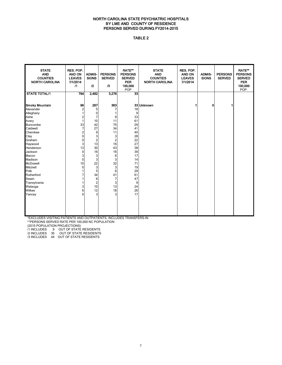#### NORTH CAROLINA STATE PSYCHIATRIC HOSPITALS BY LME AND COUNTY OF RESIDENCE PERSONS SERVED DURING FY2014-2015

#### TABLE 2

| <b>STATE</b><br><b>AND</b><br><b>COUNTIES</b><br><b>NORTH CAROLINA</b> | RES. POP.<br><b>AND ON</b><br><b>LEAVES</b><br>7/1/2014<br>$\sqrt{1}$ | <b>ADMIS-</b><br><b>SIONS</b><br>12 | <b>PERSONS</b><br><b>SERVED</b><br>13 | <b>RATE**</b><br><b>PERSONS</b><br><b>SERVED</b><br><b>PER</b><br>100,000<br>POP | <b>STATE</b><br><b>AND</b><br><b>COUNTIES</b><br><b>NORTH CAROLINA</b> | RES. POP.<br><b>AND ON</b><br><b>LEAVES</b><br>7/1/2014 | <b>ADMIS-</b><br><b>SIONS</b> | <b>PERSONS</b><br><b>SERVED</b> | RATE**<br><b>PERSONS</b><br><b>SERVED</b><br><b>PER</b><br>100,000<br>POP. |
|------------------------------------------------------------------------|-----------------------------------------------------------------------|-------------------------------------|---------------------------------------|----------------------------------------------------------------------------------|------------------------------------------------------------------------|---------------------------------------------------------|-------------------------------|---------------------------------|----------------------------------------------------------------------------|
| <b>STATE TOTAL/1</b>                                                   | 794                                                                   | 2,482                               | 3,276                                 | 33                                                                               |                                                                        |                                                         |                               |                                 |                                                                            |
| Smoky Mountain                                                         | 96                                                                    | 267                                 | 363                                   |                                                                                  | 33 Unknown                                                             |                                                         | 0                             | 1                               |                                                                            |
| Alexander                                                              | 2                                                                     | 5                                   | $\overline{7}$                        | 18                                                                               |                                                                        |                                                         |                               |                                 |                                                                            |
| Alleghany                                                              | 1                                                                     | $\mathbf 0$                         | 1                                     | 9                                                                                |                                                                        |                                                         |                               |                                 |                                                                            |
| Ashe                                                                   | 2                                                                     | $\overline{7}$<br>10                | 9<br>11                               | 33<br>61                                                                         |                                                                        |                                                         |                               |                                 |                                                                            |
| Avery<br>Buncombe                                                      | 33                                                                    | 42                                  | 75                                    | 29                                                                               |                                                                        |                                                         |                               |                                 |                                                                            |
| Caldwell                                                               | 7                                                                     | 27                                  | 34                                    | 41                                                                               |                                                                        |                                                         |                               |                                 |                                                                            |
| Cherokee                                                               | 2                                                                     | 9                                   | 11                                    | 40                                                                               |                                                                        |                                                         |                               |                                 |                                                                            |
| Clay                                                                   | 0                                                                     | 3                                   | 3                                     | 28                                                                               |                                                                        |                                                         |                               |                                 |                                                                            |
| Graham                                                                 | 0                                                                     | $\overline{2}$                      | $\overline{\mathbf{c}}$               | 22                                                                               |                                                                        |                                                         |                               |                                 |                                                                            |
| Haywood                                                                | 3                                                                     | 13                                  | 16                                    | 27                                                                               |                                                                        |                                                         |                               |                                 |                                                                            |
| Henderson                                                              | 13                                                                    | 30                                  | 43                                    | 38                                                                               |                                                                        |                                                         |                               |                                 |                                                                            |
| Jackson                                                                | 0                                                                     | 16                                  | 16                                    | 39                                                                               |                                                                        |                                                         |                               |                                 |                                                                            |
| Macon                                                                  | 3                                                                     | 3                                   | 6                                     | 17                                                                               |                                                                        |                                                         |                               |                                 |                                                                            |
| Madison                                                                | $\mathbf 0$                                                           | 3                                   | 3                                     | 14                                                                               |                                                                        |                                                         |                               |                                 |                                                                            |
| <b>McDowell</b>                                                        | 10                                                                    | 22                                  | 32                                    | 71                                                                               |                                                                        |                                                         |                               |                                 |                                                                            |
| Mitchell                                                               | $\Omega$                                                              | 3                                   | 3                                     | 19                                                                               |                                                                        |                                                         |                               |                                 |                                                                            |
| Polk                                                                   |                                                                       | 5                                   | 6                                     | 29                                                                               |                                                                        |                                                         |                               |                                 |                                                                            |
| Rutherford                                                             | 7                                                                     | 34                                  | 41                                    | 61                                                                               |                                                                        |                                                         |                               |                                 |                                                                            |
| Swain                                                                  |                                                                       | 6                                   | 7                                     | 47                                                                               |                                                                        |                                                         |                               |                                 |                                                                            |
| Transylvania                                                           |                                                                       | 2                                   | 3                                     | 9                                                                                |                                                                        |                                                         |                               |                                 |                                                                            |
| Watauga                                                                | 3                                                                     | 10                                  | 13                                    | 24                                                                               |                                                                        |                                                         |                               |                                 |                                                                            |
| Wilkes                                                                 | 6                                                                     | 12                                  | 18                                    | 26                                                                               |                                                                        |                                                         |                               |                                 |                                                                            |
| Yancey                                                                 | 0                                                                     | 3                                   | 3                                     | 17                                                                               |                                                                        |                                                         |                               |                                 |                                                                            |
|                                                                        |                                                                       |                                     |                                       |                                                                                  |                                                                        |                                                         |                               |                                 |                                                                            |
|                                                                        |                                                                       |                                     |                                       |                                                                                  |                                                                        |                                                         |                               |                                 |                                                                            |

\*EXCLUDES VISITING PATIENTS AND OUTPATIENTS, INCLUDES TRANSFERS-IN

\*\*PERSONS SERVED RATE PER 100,000 NC POPULATION

(2015 POPULATION PROJECTIONS)

/1 INCLUDES 9 OUT OF STATE RESIDENTS

/2 INCLUDES 35 OUT OF STATE RESIDENTS /3 INCLUDES 44 OUT OF STATE RESIDENTS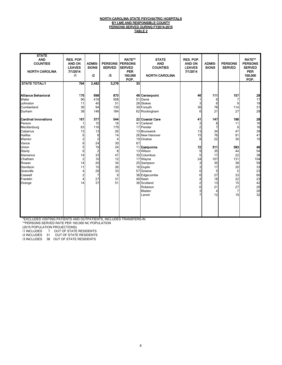#### <u>NORTH CAROLINA STATE PSYCHIATRIC HOSPITALS</u> <u>BY LME AND RESPONSIBLE COUNTY</u> PERSONS SERVED DURING FY2014-2015 TABLE 2

| <b>STATE</b><br><b>AND</b><br><b>COUNTIES</b><br><b>NORTH CAROLINA</b> | RES. POP.<br><b>AND ON</b><br><b>LEAVES</b><br>7/1/2014<br>$\sqrt{1}$ | <b>ADMIS-</b><br><b>SIONS</b><br>12 | <b>PERSONS</b><br><b>SERVED</b><br>/3 | <b>RATE**</b><br><b>IPERSONS</b><br><b>SERVED</b><br><b>PER</b><br>100,000<br>POP. | <b>STATE</b><br><b>AND</b><br><b>COUNTIES</b><br><b>NORTH CAROLINA</b> | <b>RES. POP.</b><br><b>AND ON</b><br><b>LEAVES</b><br>7/1/2014 | <b>ADMIS-</b><br><b>SIONS</b> | <b>PERSONS</b><br><b>SERVED</b> | <b>RATE**</b><br><b>PERSONS</b><br><b>SERVED</b><br><b>PER</b><br>100,000<br>POP. |
|------------------------------------------------------------------------|-----------------------------------------------------------------------|-------------------------------------|---------------------------------------|------------------------------------------------------------------------------------|------------------------------------------------------------------------|----------------------------------------------------------------|-------------------------------|---------------------------------|-----------------------------------------------------------------------------------|
| <b>STATE TOTAL/1</b>                                                   | 794                                                                   | 2,482                               | 3.276                                 | $\overline{33}$                                                                    |                                                                        |                                                                |                               |                                 |                                                                                   |
| Alliance Behavioral                                                    | 175                                                                   | 698                                 | 873                                   |                                                                                    | 48 Centerpoint                                                         | 46                                                             | 111                           | 157                             | 29                                                                                |
| Wake                                                                   | 90                                                                    | 418                                 | 508                                   |                                                                                    | 51 Davie                                                               | 1                                                              | 6                             | 7                               | 17                                                                                |
| Johnston                                                               | 11                                                                    | 40                                  | 51                                    |                                                                                    | 28 Stokes                                                              | 3                                                              | 6                             | 9                               | 19                                                                                |
| Cumberland                                                             | 36                                                                    | 94                                  | 130                                   |                                                                                    | 39 Forsyth                                                             | 36                                                             | 78                            | 114                             | 31                                                                                |
| Durham                                                                 | 38                                                                    | 146                                 | 184                                   |                                                                                    | 62 Rockingham                                                          | 6                                                              | 21                            | 27                              | 29                                                                                |
| <b>Cardinal Innovations</b>                                            | 167                                                                   | 377                                 | 544                                   |                                                                                    | 22 Coastal Care                                                        | 41                                                             | 147                           | 188                             | 28                                                                                |
| Person                                                                 |                                                                       | 15                                  | 16                                    |                                                                                    | 41 Carteret                                                            | 3                                                              | 8                             | 11                              | 16                                                                                |
| Mecklenburg                                                            | 63                                                                    | 116                                 | 179                                   |                                                                                    | 17 Pender                                                              | $\overline{c}$                                                 | $\overline{7}$                | 9                               | 16                                                                                |
| Cabarrus                                                               | 13                                                                    | 13                                  | 26                                    |                                                                                    | 13 Brunswick                                                           | 13                                                             | 34                            | 47                              | 39                                                                                |
| Halifax                                                                | 6                                                                     | 8                                   | 14                                    |                                                                                    | 26 New Hanover                                                         | 15                                                             | 76                            | 91                              | 41                                                                                |
| Warren                                                                 | 2                                                                     | $\overline{2}$                      | 4                                     |                                                                                    | 19 Onslow                                                              | 8                                                              | 22                            | 30                              | 15                                                                                |
| Vance                                                                  | 6                                                                     | 24                                  | 30                                    | 67                                                                                 |                                                                        |                                                                |                               |                                 |                                                                                   |
| Union                                                                  | 5                                                                     | 19                                  | 24                                    |                                                                                    | 11 Eastpointe                                                          | 72                                                             | 311                           | 383                             | 46                                                                                |
| Stanly                                                                 | 6                                                                     | $\overline{2}$                      | 8                                     |                                                                                    | 13 Wilson                                                              | 9                                                              | 35                            | 44                              | 54                                                                                |
| Alamance                                                               | 14                                                                    | 33                                  | 47                                    |                                                                                    | 30 Columbus                                                            | 5                                                              | 17                            | 22                              | 38                                                                                |
| Chatham                                                                | $\overline{2}$                                                        | 10                                  | 12                                    |                                                                                    | 17 Wayne                                                               | 24                                                             | 107                           | 131                             | 104                                                                               |
| Rowan                                                                  | 14                                                                    | 20                                  | 34                                    |                                                                                    | 25 Sampson                                                             | 3                                                              | 35                            | 38                              | 59                                                                                |
| Davidson                                                               | 11                                                                    | 15                                  | 26                                    |                                                                                    | 16 Duplin                                                              | 3                                                              | 17                            | 20                              | 33                                                                                |
| Granville                                                              | $\overline{4}$                                                        | 29                                  | 33                                    |                                                                                    | 57 Greene                                                              | $\mathbf 0$                                                    | 5                             | 5                               | 23                                                                                |
| Caswell                                                                | $\overline{c}$                                                        | $\overline{7}$                      | 9                                     |                                                                                    | 38 Edgecombe                                                           | 6                                                              | 27                            | 33                              | 60                                                                                |
| Franklin                                                               | $\overline{4}$                                                        | 27                                  | 31                                    |                                                                                    | 49 Nash                                                                | $\overline{\mathbf{4}}$                                        | 18                            | 22                              | 23                                                                                |
| Orange                                                                 | 14                                                                    | 37                                  | 51                                    |                                                                                    | 36 Scotland                                                            | $\overline{\mathbf{c}}$                                        | 13                            | 15                              | 42                                                                                |
|                                                                        |                                                                       |                                     |                                       |                                                                                    | Robeson                                                                | 6                                                              | 21                            | 27                              | 20                                                                                |
|                                                                        |                                                                       |                                     |                                       |                                                                                    | Bladen                                                                 | 3                                                              | 4                             | $\overline{7}$                  | 20                                                                                |
|                                                                        |                                                                       |                                     |                                       |                                                                                    | Lenoir                                                                 | $\overline{7}$                                                 | 12                            | 19                              | 32                                                                                |
|                                                                        |                                                                       |                                     |                                       |                                                                                    |                                                                        |                                                                |                               |                                 |                                                                                   |

\*EXCLUDES VISITING PATIENTS AND OUTPATIENTS, INCLUDES TRANSFERS-IN

\*\*PERSONS SERVED RATE PER 100,000 NC POPULATION

(2015 POPULATION PROJECTIONS)

/1 INCLUDES 7 OUT OF STATE RESIDENTS

/2 INCLUDES 31 OUT OF STATE RESIDENTS

/3 INCLUDES 38 OUT OF STATE RESIDENTS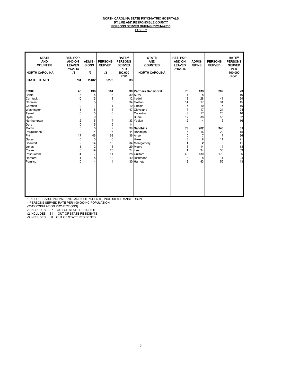#### <u>NORTH CAROLINA STATE PSYCHIATRIC HOSPITALS</u> <u>BY LME AND RESPONSIBLE COUNTY</u> PERSONS SERVED DURING FY2014-2015 <u>TABLE 2</u>

| <b>STATE</b><br><b>AND</b><br><b>COUNTIES</b><br><b>NORTH CAROLINA</b>                                                                                                                                                              | RES. POP.<br>AND ON<br><b>LEAVES</b><br>7/1/2014<br>$\sqrt{1}$                                                                                | <b>ADMIS-</b><br><b>SIONS</b><br>$\mathfrak{p}$                                                                 | <b>PERSONS</b><br><b>SERVED</b><br>/3                                                                                              | <b>RATE**</b><br><b>PERSONS</b><br><b>SERVED</b><br>PER<br>100,000<br>POP | <b>STATE</b><br><b>AND</b><br><b>COUNTIES</b><br><b>NORTH CAROLINA</b>                                                                                                                                                                                                           | RES. POP.<br><b>AND ON</b><br><b>LEAVES</b><br>7/1/2014                                                       | <b>ADMIS-</b><br><b>SIONS</b>                                                                                            | <b>PERSONS</b><br><b>SERVED</b>                                                                                             | <b>RATE**</b><br><b>PERSONS</b><br><b>SERVED</b><br><b>PER</b><br>100,000<br>POP.                                                                                        |
|-------------------------------------------------------------------------------------------------------------------------------------------------------------------------------------------------------------------------------------|-----------------------------------------------------------------------------------------------------------------------------------------------|-----------------------------------------------------------------------------------------------------------------|------------------------------------------------------------------------------------------------------------------------------------|---------------------------------------------------------------------------|----------------------------------------------------------------------------------------------------------------------------------------------------------------------------------------------------------------------------------------------------------------------------------|---------------------------------------------------------------------------------------------------------------|--------------------------------------------------------------------------------------------------------------------------|-----------------------------------------------------------------------------------------------------------------------------|--------------------------------------------------------------------------------------------------------------------------------------------------------------------------|
| <b>STATE TOTAL/1</b>                                                                                                                                                                                                                | 794                                                                                                                                           | 2,482                                                                                                           | 3,276                                                                                                                              | $\overline{33}$                                                           |                                                                                                                                                                                                                                                                                  |                                                                                                               |                                                                                                                          |                                                                                                                             |                                                                                                                                                                          |
| ІЕСВН<br><b>Bertie</b><br>Currituck<br>Chowan<br>Camden<br>Washington<br>Tyrrell<br>Hyde<br>Northampton<br>Dare<br>Martin<br>Perquimans<br>Pitt<br>Gates<br><b>Beaufort</b><br>Jones<br>Craven<br>Pasquotank<br>Hertford<br>Pamlico | 45<br>3<br>0<br>0<br>0<br>0<br>0<br>$\overline{c}$<br>$\mathbf{0}$<br>3<br>$\overline{\mathbf{c}}$<br>17<br>0<br>2<br>6<br>4<br>4<br>$\Omega$ | 139<br>5<br>3<br>5<br>5<br>0<br>0<br>5<br>5<br>6<br>4<br>46<br>$\Omega$<br>14<br>$\overline{2}$<br>19<br>7<br>8 | 184<br>8<br>3<br>5<br>6<br>0<br>0<br>$\overline{7}$<br>5 <sup>1</sup><br>9<br>6<br>63<br>$\mathbf{0}$<br>16<br>3<br>25<br>11<br>12 | 14                                                                        | <b>30 Partners Behavioral</b><br>39 Surry<br>12 Iredell<br>34 Gaston<br>10 Lincoln<br>47 Cleveland<br>Catawba<br><b>Burke</b><br>33 Yadkin<br>38 Sandhills<br>44 Randolph<br>36 Anson<br>Hoke<br>34 Montgomery<br>29 Moore<br>24 Lee<br>28 Guilford<br>49 Richmond<br>30 Harnett | 70<br>$\overline{4}$<br>13<br>14<br>5<br>7<br>8<br>17<br>$\overline{2}$<br>78<br>6<br>0<br>3<br>49<br>3<br>12 | 139<br>8<br>28<br>17<br>10<br>17<br>17<br>38<br>4<br>262<br>16<br>$\overline{7}$<br>8<br>2<br>14<br>34<br>130<br>8<br>43 | 209<br>12<br>41<br>31<br>15<br>24<br>25<br>55<br>6<br>340<br>22<br>$\overline{7}$<br>11<br>3<br>17<br>35<br>179<br>11<br>55 | $\begin{array}{c} \n \textbf{23} \\ \n \textbf{16} \n \end{array}$<br>24<br>15<br>19<br>24<br>16<br>62<br>16<br>31<br>15<br>26<br>21<br>11<br>18<br>59<br>35<br>24<br>43 |

\*EXCLUDES VISITING PATIENTS AND OUTPATIENTS, INCLUDES TRANSFERS-IN

\*\*PERSONS SERVED RATE PER 100,000 NC POPULATION

(2015 POPULATION PROJECTIONS)

/1 INCLUDES 7 OUT OF STATE RESIDENTS

/2 INCLUDES 31 OUT OF STATE RESIDENTS /3 INCLUDES 38 OUT OF STATE RESIDENTS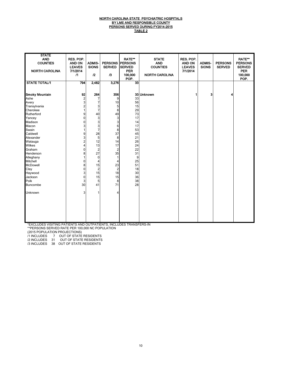#### <u>NORTH CAROLINA STATE PSYCHIATRIC HOSPITALS</u> <u>BY LME AND RESPONSIBLE COUNTY</u> PERSONS SERVED DURING FY2014-2015 TABLE 2

| <b>STATE</b><br><b>AND</b><br><b>COUNTIES</b><br><b>NORTH CAROLINA</b><br><b>STATE TOTAL/1</b>                                                                                                                                                                                                                            | RES. POP.<br><b>AND ON</b><br><b>LEAVES</b><br>7/1/2014<br>$\sqrt{1}$<br>794                                                              | <b>ADMIS-</b><br><b>SIONS</b><br>$\mathbf{r}$<br>2,482                                                                                                                                         | <b>PERSONS</b><br><b>SERVED</b><br>/3<br>3,276                                                                                                                               | <b>RATE**</b><br><b>PERSONS</b><br><b>SERVED</b><br><b>PER</b><br>100,000<br>POP.<br>33                                               | <b>STATE</b><br><b>AND</b><br><b>COUNTIES</b><br><b>NORTH CAROLINA</b> | RES. POP.<br><b>AND ON</b><br><b>LEAVES</b><br>7/1/2014 | <b>ADMIS-</b><br><b>SIONS</b> | <b>PERSONS</b><br><b>SERVED</b> | <b>RATE**</b><br><b>PERSONS</b><br><b>SERVED</b><br><b>PER</b><br>100,000<br>POP. |
|---------------------------------------------------------------------------------------------------------------------------------------------------------------------------------------------------------------------------------------------------------------------------------------------------------------------------|-------------------------------------------------------------------------------------------------------------------------------------------|------------------------------------------------------------------------------------------------------------------------------------------------------------------------------------------------|------------------------------------------------------------------------------------------------------------------------------------------------------------------------------|---------------------------------------------------------------------------------------------------------------------------------------|------------------------------------------------------------------------|---------------------------------------------------------|-------------------------------|---------------------------------|-----------------------------------------------------------------------------------|
| <b>Smoky Mountain</b><br>Sinony modif<br>Ashe<br>Avery<br>Transylvania<br>Cherokee<br>Rutherford<br>Yancey<br>Madison<br>Macon<br>Swain<br>Caldwell<br>Alexander<br>Watauga<br>Wilkes<br>Graham<br>Henderson<br>Alleghany<br>Mitchell<br>McDowell<br><br>Clay<br>Haywood<br>Jackson<br>Polk<br><b>Buncombe</b><br>Unknown | 92<br>$\overline{2}$<br>3<br>2<br>9<br>$\Omega$<br>0<br>3<br>9<br>3<br>2<br>0<br>8<br>$\Omega$<br>8<br>$\Omega$<br>3<br>0<br>3<br>30<br>3 | 264<br>7<br>7<br>3<br>$\overline{7}$<br>40<br>3<br>3<br>$\frac{3}{7}$<br>28<br>5<br>12<br>13<br>$\overline{c}$<br>27<br>$\mathbf 0$<br>4<br>15<br>$\boldsymbol{2}$<br>15<br>15<br>5<br>41<br>1 | 356<br>9<br>10<br>5<br>8<br>49<br>3<br>3<br>6<br>8<br>37<br>8<br>14<br>17<br>$\overline{2}$<br>35<br>1<br>$\overline{4}$<br>23<br>$\overline{2}$<br>18<br>15<br>8<br>71<br>4 | 33<br>56<br>15<br>29<br>73<br>17<br>14<br>17<br>53<br>45<br>21<br>26<br>24<br>22<br>31<br>9<br>25<br>51<br>18<br>30<br>36<br>38<br>28 | 33 Unknown                                                             | 1                                                       | 3                             | 4                               |                                                                                   |

\*EXCLUDES VISITING PATIENTS AND OUTPATIENTS, INCLUDES TRANSFERS-IN \*\*PERSONS SERVED RATE PER 100,000 NC POPULATION

(2015 POPULATION PROJECTIONS)

/1 INCLUDES 7 OUT OF STATE RESIDENTS

/2 INCLUDES 31 OUT OF STATE RESIDENTS

/3 INCLUDES 38 OUT OF STATE RESIDENTS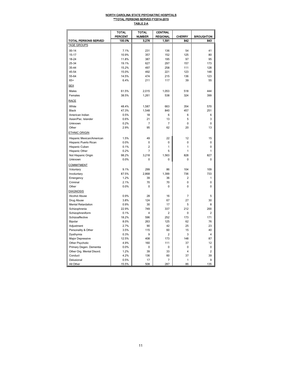#### <u>NORTH CAROLINA STATE PSYCHIATRIC HOSPITALS</u> \*\*TOTAL PERSONS SERVED FY2014-2015 TABLE 2-A

|                           | TOTAL          | TOTAL          | CENTRAL        |                |                         |
|---------------------------|----------------|----------------|----------------|----------------|-------------------------|
|                           | <b>PERCENT</b> | <b>NUMBER</b>  | REGIONAL       | <b>CHERRY</b>  | <b>BROUGHTON</b>        |
| TOTAL PERSONS SERVED      | 100.0%         | 3,276          | 1,591          | 842            | 843                     |
| *AGE GROUPS               |                |                |                |                |                         |
| $00 - 14$                 | 7.1%           | 231            | 136            | 54             | 41                      |
| $15 - 17$                 | 10.9%          | 357            | 152            | 125            | 80                      |
| 18-24                     | 11.8%          | 387            | 195            | 97             | 95                      |
| 25-34                     | 19.1%          | 627            | 297            | 157            | 173                     |
| 35-44                     | 15.2%          | 497            | 258            | 111            | 128                     |
| 45-54                     | 15.0%          | 492            | 221            | 123            | 148                     |
| 55-64                     | 14.5%          | 474            | 215            | 136            | 123                     |
| $65+$                     | 6.4%           | 211            | 117            | 39             | 55                      |
| <u>SEX</u>                |                |                |                |                |                         |
|                           | 61.5%          |                |                | 518            | 444                     |
| Males<br>Females          | 38.5%          | 2,015<br>1,261 | 1,053<br>538   | 324            | 399                     |
|                           |                |                |                |                |                         |
| <b>RACE</b>               |                |                |                |                |                         |
| White                     | 48.4%          | 1,587          | 663            | 354            | 570                     |
| <b>Black</b>              | 47.3%          | 1,548          | 840            | 457            | 251                     |
| American Indian           | 0.5%           | 18             | 6              | 6              | 6                       |
| Asian/Pac. Islander       | 0.6%           | 21             | 13             | 5              | 3                       |
| Unknown                   | 0.2%           | $\overline{7}$ | $\overline{7}$ | 0              | 0                       |
| Other                     | 2.9%           | 95             | 62             | 20             | 13                      |
| <b>ETHNIC ORIGIN</b>      |                |                |                |                |                         |
| Hispanic Mexican/American | 1.5%           | 49             | 22             | 12             | 15                      |
| Hispanic Puerto Rican     | 0.0%           | 0              | 0              | 0              | 0                       |
| Hispanic Cuban            | 0.1%           | $\overline{2}$ | 1              | 1              | 0                       |
| Hispanic Other            | 0.2%           | 7              | 5              | 1              | 1                       |
| Not Hispanic Origin       | 98.2%          | 3,218          | 1,563          | 828            | 827                     |
| Unknown                   | 0.0%           | 0              | 0              | 0              | 0                       |
| <b>COMMITMENT</b>         |                |                |                |                |                         |
| Voluntary                 | 9.1%           | 299            | 86             | 104            | 109                     |
| Involuntary               | 87.5%          | 2,868          | 1,399          | 736            | 733                     |
| Emergency                 | 1.2%           | 39             | 36             | $\overline{2}$ | 1                       |
| Criminal                  | 2.1%           | 70             | 70             | 0              | 0                       |
| Other                     | 0.0%           | 0              | 0              | 0              | 0                       |
| <b>DIAGNOSIS</b>          |                |                |                |                |                         |
| Alcohol Abuse             | 0.9%           | 28             | 16             | 7              | 5                       |
| Drug Abuse                | 3.8%           | 124            | 67             | 27             | 30                      |
| <b>Mental Retardation</b> | 0.9%           | 30             | 17             | 5              | 8                       |
| Schizophrenia             | 22.9%          | 749            | 337            | 212            | 200                     |
| Schizophreniform          | 0.1%           | $\overline{4}$ | $\overline{2}$ | 0              | $\overline{c}$          |
| Schizoaffective           | 18.2%          | 596            | 252            | 173            | 171                     |
| Bipolar                   | 8.0%           | 263            | 125            | 62             | 76                      |
| Adjustment                | 2.7%           | 90             | 42             | 25             | 23                      |
| Personality & Other       | 3.5%           | 115            | 60             | 15             | 40                      |
| Dysthymia                 | 0.3%           | 9              | $\overline{c}$ | 3              | $\overline{\mathbf{4}}$ |
| Major Depressive          | 12.5%          | 408            | 173            | 148            | 87                      |
| Other Psychotic           | 4.9%           | 160            | 111            | 37             | 12                      |
| Primary Degen. Dementia   | 0.0%           | 0              | 0              | 0              | 0                       |
| Other Org. Mental Disord. | 1.2%           | 39             | 33             | 4              | $\overline{2}$          |
| Conduct                   | 4.2%           | 136            | 60             | 37             | 39                      |
| Delusional                | 0.5%           | 17             | 7              | 1              | 9                       |
| All Other                 | 15.5%          | 508            | 287            | 86             | 135                     |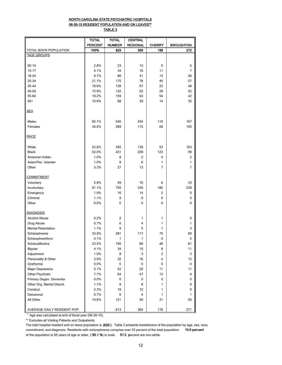#### NORTH CAROLINA STATE PSYCHIATRIC HOSPITALS 06-30-15 RESIDENT POPULATION AND ON LEAVES\*\* TABLE 3

|                             | <b>TOTAL</b>   | TOTAL         | <b>CENTRAL</b>  |               |                  |
|-----------------------------|----------------|---------------|-----------------|---------------|------------------|
|                             | <b>PERCENT</b> | <b>NUMBER</b> | <b>REGIONAL</b> | <b>CHERRY</b> | <b>BROUGHTON</b> |
| TOTAL BOOK POPULATION       | 100%           | 829           | 369             | 188           | 272              |
| *AGE GROUPS                 |                |               |                 |               |                  |
|                             |                |               |                 |               |                  |
| $00 - 14$                   | 2.8%           | 23            | 13              | 5             | 5                |
| $15 - 17$                   | 4.1%           | 34            | 16              | 11            | 7                |
| 18-24                       | 9.7%           | 80            | 41              | 13            | 26               |
| 25-34                       | 21.1%          | 175           | 78              | 40            | 57               |
| 35-44                       | 16.6%          | 138           | 67              | 23            | 48               |
| 45-54                       | 15.9%          | 132           | 52              | 28            | 52               |
| 55-64                       | 19.2%          | 159           | 63              | 54            | 42               |
| $65+$                       | 10.6%          | 88            | 39              | 14            | 35               |
| <b>SEX</b>                  |                |               |                 |               |                  |
| Males                       | 65.1%          | 540           | 254             | 119           | 167              |
| Females                     | 34.9%          | 289           | 115             | 69            | 105              |
| <b>RACE</b>                 |                |               |                 |               |                  |
| White                       | 42.8%          | 355           | 139             | 53            | 163              |
| <b>Black</b>                | 52.0%          | 431           | 209             | 123           | 99               |
| American Indian             | 1.0%           | 8             | 2               | 4             | $\overline{c}$   |
| Asian/Pac. Islander         | 1.0%           | 8             | 6               | 1             | 1                |
| Other                       | 3.3%           | 27            | 13              | 7             | $\overline{7}$   |
| <b>COMMITMENT</b>           |                |               |                 |               |                  |
| Voluntary                   | 5.9%           | 49            | 10              | 6             | 33               |
| Involuntary                 | 91.1%          | 755           | 336             | 180           | 239              |
| Emergency                   | 1.9%           | 16            | 14              | 2             | 0                |
| Criminal                    | 1.1%           | 9             | 9               | 0             | 0                |
| Other                       | 0.0%           | 0             | 0               | 0             | 0                |
| <b>DIAGNOSIS</b>            |                |               |                 |               |                  |
| Alcohol Abuse               | 0.2%           | 2             | 1               | 1             | 0                |
| Drug Abuse                  | 0.7%           | 6             | 4               | 1             | 1                |
| <b>Mental Retardation</b>   | 1.1%           | 9             | 5               | 1             | 3                |
| Schizophrenia               | 33.9%          | 281           | 117             | 75            | 89               |
| Schizophreniform            | 0.1%           | 1             | 1               | 0             | $\pmb{0}$        |
| Schizoaffective             | 23.5%          | 195           | 66              | 48            | 81               |
| Bipolar                     | 4.1%           | 34            | 15              | 8             | 11               |
| Adjustment                  | 1.0%           | 8             | 3               | 2             | 3                |
| Personality & Other         | 3.9%           | 32            | 16              | 4             | 12               |
| Dysthymia                   | 0.0%           | 0             | 0               | 0             | 0                |
| Major Depressive            | 5.1%           | 42            | 20              | 11            | 11               |
| Other Psychotic             | 7.7%           | 64            | 47              | 13            | $\sqrt{4}$       |
| Primary Degen. Dementia     | 0.0%           | 0             | 0               | 0             | 0                |
| Other Org. Mental Disord.   | 1.1%           | 9             | 8               | 1             | $\pmb{0}$        |
| Conduct                     | 2.3%           | 19            | 12              | 1             | 6                |
| Delusional                  | 0.7%           | 6             | 4               | 1             | 1                |
| All Other                   | 14.6%          | 121           | 50              | 21            | 50               |
| AVERAGE DAILY RESIDENT POP. |                | 813           | 364             | 178           | 271              |

\* Age was calculated at end of fiscal year (06-30-15).

\*\* Excludes all Visiting Patients and Outpatients.

The total hospital resident and on leave population is (829 ). Table 3 presents breakdowns of the population by age, sex, race, commitment, and diagnosis. Residents with schizophrenia comprise over 33 percent of the total population. 10.6 percent of the population is 65 years of age or older, (65.1 %) is male. 57.2 percent are non-white.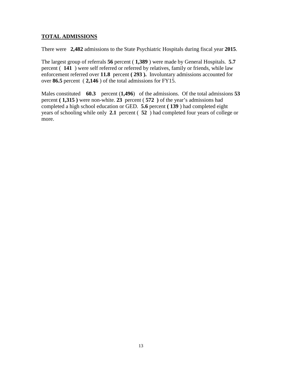## **TOTAL ADMISSIONS**

There were **2,482** admissions to the State Psychiatric Hospitals during fiscal year **2015**.

The largest group of referrals **56** percent ( **1,389** ) were made by General Hospitals. **5.7**  percent ( **141** ) were self referred or referred by relatives, family or friends, while law enforcement referred over **11.8** percent **( 293 ).** Involuntary admissions accounted for over **86.5** percent ( **2,146** ) of the total admissions for FY15.

Males constituted **60.3** percent (**1,496**) of the admissions. Of the total admissions **53**  percent **( 1,315 )** were non-white. **23** percent ( **572 )** of the year's admissions had completed a high school education or GED. **5.6** percent **( 139** ) had completed eight years of schooling while only **2.1** percent ( **52** ) had completed four years of college or more.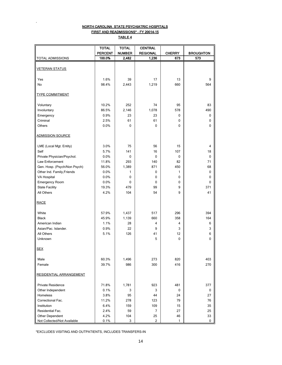### NORTH CAROLINA STATE PSYCHIATRIC HOSPITALS FIRST AND READMISSIONS\* - FY 20014-15 TABLE 4

.

|                                               | <b>TOTAL</b>   | <b>TOTAL</b>  | <b>CENTRAL</b>  |               |                  |
|-----------------------------------------------|----------------|---------------|-----------------|---------------|------------------|
|                                               | <b>PERCENT</b> | <b>NUMBER</b> | <b>REGIONAL</b> | <b>CHERRY</b> | <b>BROUGHTON</b> |
| <b>TOTAL ADMISSIONS</b>                       | 100.0%         | 2,482         | 1,236           | 673           | 573              |
|                                               |                |               |                 |               |                  |
| <b>VETERAN STATUS</b>                         |                |               |                 |               |                  |
|                                               |                |               |                 |               |                  |
| Yes                                           | 1.6%           | 39            | 17              | 13            | 9                |
| No                                            | 98.4%          | 2,443         | 1,219           | 660           | 564              |
| <b>TYPE COMMITMENT</b>                        |                |               |                 |               |                  |
|                                               |                |               |                 |               |                  |
| Voluntary                                     | 10.2%          | 252           | 74              | 95            | 83               |
| Involuntary                                   | 86.5%          | 2,146         | 1,078           | 578           | 490              |
| Emergency                                     | 0.9%           | 23            | 23              | 0             | 0                |
| Criminal                                      | 2.5%           | 61            | 61              | 0             | 0                |
| Others                                        | 0.0%           | $\Omega$      | 0               | 0             | 0                |
|                                               |                |               |                 |               |                  |
| <b>ADMISSION SOURCE</b>                       |                |               |                 |               |                  |
| LME (Local Mgt. Entity)                       | 3.0%           | 75            | 56              | 15            | 4                |
| Self                                          |                | 141           | 16              | 107           | 18               |
|                                               | 5.7%<br>0.0%   | 0             | 0               | 0             | 0                |
| Private Physician/Psychol.<br>Law Enforcement |                | 293           |                 | 82            | 71               |
| Gen. Hosp. (Psych/Non Psych)                  | 11.8%<br>56.0% | 1,389         | 140<br>871      | 450           | 68               |
| Other Ind. Family, Friends                    | 0.0%           | 1             | 0               | 1             | 0                |
|                                               | 0.0%           | 0             |                 | 0             |                  |
| VA Hospital                                   |                |               | 0               |               | 0                |
| Emergency Room                                | 0.0%           | 0             | 0               | 0             | 0                |
| <b>State Facility</b>                         | 19.3%          | 479<br>104    | 99<br>54        | 9<br>9        | 371<br>41        |
| All Others                                    | 4.2%           |               |                 |               |                  |
| <b>RACE</b>                                   |                |               |                 |               |                  |
|                                               |                |               |                 |               |                  |
| White                                         | 57.9%          | 1,437         | 517             | 296           | 394              |
| <b>Black</b>                                  | 45.9%          | 1,139         | 660             | 358           | 164              |
| American Indian                               | 1.1%           | 28            | 4               | 4             | 6                |
| Asian/Pac. Islander.                          | 0.9%           | 22            | 9               | 3             | 3                |
| All Others                                    | 5.1%           | 126           | 41              | 12            | 6                |
| Unknown                                       |                |               | 5               | 0             | 0                |
|                                               |                |               |                 |               |                  |
| <b>SEX</b>                                    |                |               |                 |               |                  |
|                                               |                |               | 273             | 820           | 403              |
| Male<br>Female                                | 60.3%<br>39.7% | 1,496<br>986  | 300             | 416           | 270              |
|                                               |                |               |                 |               |                  |
| RESIDENTIAL ARRANGEMENT                       |                |               |                 |               |                  |
| <b>Private Residence</b>                      | 71.8%          | 1,781         | 923             | 481           | 377              |
| Other Independent                             | 0.1%           | 3             | 3               | 0             | 0                |
| Homeless                                      | 3.8%           | 95            | 44              | 24            | 27               |
| Correctional Fac.                             | 11.2%          | 278           | 123             | 79            | 76               |
| Institution                                   | 6.4%           | 159           | 109             | 15            | 35               |
| Residential Fac.                              | 2.4%           | 59            | 7               | 27            | 25               |
| Other Dependent                               | 4.2%           | 104           | 25              | 46            | 33               |
| Not Collected/Not Available                   | 0.1%           | 3             | $\overline{c}$  | 1             | 0                |

\*EXCLUDES VISITING AND OUTPATIENTS, INCLUDES TRANSFERS-IN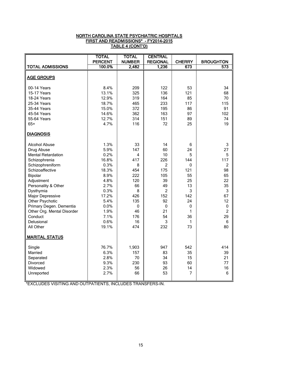## NORTH CAROLINA STATE PSYCHIATRIC HOSPITALS FIRST AND READMISSIONS\* - FY2014-2015 TABLE 4 (CONT'D)

|                            | <b>TOTAL</b>   | <b>TOTAL</b>  | <b>CENTRAL</b>  |                |                  |
|----------------------------|----------------|---------------|-----------------|----------------|------------------|
|                            | <b>PERCENT</b> | <b>NUMBER</b> | <b>REGIONAL</b> | <b>CHERRY</b>  | <b>BROUGHTON</b> |
| <b>TOTAL ADMISSIONS</b>    | 100.0%         | 2,482         | 1,236           | 673            | 573              |
|                            |                |               |                 |                |                  |
| <b>AGE GROUPS</b>          |                |               |                 |                |                  |
| 00-14 Years                | 8.4%           | 209           | 122             | 53             | 34               |
| 15-17 Years                | 13.1%          | 325           | 136             | 121            | 68               |
| 18-24 Years                | 12.9%          | 319           | 164             | 85             | 70               |
| 25-34 Years                | 18.7%          | 465           | 233             | 117            | 115              |
| 35-44 Years                | 15.0%          | 372           | 195             | 86             | 91               |
| 45-54 Years                | 14.6%          | 362           | 163             | 97             | 102              |
| 55-64 Years                | 12.7%          | 314           | 151             | 89             | 74               |
| $65+$                      | 4.7%           | 116           | 72              | 25             | 19               |
| <b>DIAGNOSIS</b>           |                |               |                 |                |                  |
| <b>Alcohol Abuse</b>       | 1.3%           | 33            | 14              | 6              | 3                |
| Drug Abuse                 | 5.9%           | 147           | 60              | 24             | 27               |
| <b>Mental Retardation</b>  | 0.2%           | 4             | 10              | 5              | $\overline{5}$   |
| Schizophrenia              | 16.8%          | 417           | 226             | 144            | 117              |
| Schizophreniform           | 0.3%           | 8             | $\overline{2}$  | $\pmb{0}$      | $\overline{2}$   |
| Schizoaffective            | 18.3%          | 454           | 175             | 121            | 98               |
| Bipolar                    | 8.9%           | 222           | 105             | 55             | 65               |
| Adjustment                 | 4.8%           | 120           | 39              | 25             | 22               |
| Personality & Other        | 2.7%           | 66            | 49              | 13             | 35               |
| Dysthymia                  | 0.3%           | 8             | 2               | 3              | 3                |
| Major Depressive           | 17.2%          | 426           | 152             | 142            | 67               |
| Other Psychotic            | 5.4%           | 135           | 92              | 24             | 12               |
| Primary Degen. Dementia    | 0.0%           | $\pmb{0}$     | $\pmb{0}$       | 0              | $\pmb{0}$        |
| Other Org. Mental Disorder | 1.9%           | 46            | 21              | 1              | $\overline{2}$   |
| Conduct                    | 7.1%           | 176           | 54              | 36             | 29               |
| Delusional                 | 0.6%           | 16            | 3               | 1              | $\,6\,$          |
| All Other                  | 19.1%          | 474           | 232             | 73             | 80               |
| <b>MARITAL STATUS</b>      |                |               |                 |                |                  |
|                            |                |               |                 |                |                  |
| Single                     | 76.7%          | 1,903         | 947             | 542            | 414              |
| Married                    | 6.3%           | 157           | 83              | 35             | 39               |
| Separated                  | 2.8%           | 70            | 34              | 15             | 21               |
| Divorced                   | 9.3%           | 230           | 93              | 60             | 77               |
| Widowed                    | 2.3%           | 56            | 26              | 14             | 16               |
| Unreported                 | 2.7%           | 66            | 53              | $\overline{7}$ | 6                |
|                            |                |               |                 |                |                  |

\*EXCLUDES VISITING AND OUTPATIENTS, INCLUDES TRANSFERS-IN.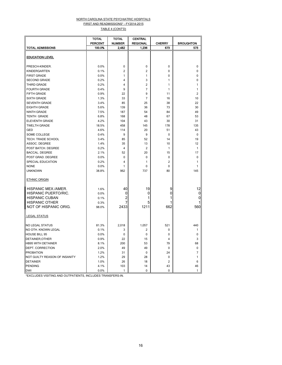#### NORTH CAROLINA STATE PSYCHIATRIC HOSPITALS FIRST AND READMISSIONS\* - FY2014-2015

TABLE 4 (CONT'D)

|                               | <b>TOTAL</b>   | <b>TOTAL</b>   | CENTRAL         |                |                  |
|-------------------------------|----------------|----------------|-----------------|----------------|------------------|
|                               | <b>PERCENT</b> | <b>NUMBER</b>  | <b>REGIONAL</b> | <b>CHERRY</b>  | <b>BROUGHTON</b> |
| TOTAL ADMISSIONS              | 100.0%         | 2,482          | 1,236           | 673            | 573              |
|                               |                |                |                 |                |                  |
| <b>EDUCATION LEVEL</b>        |                |                |                 |                |                  |
| PRESCH-KINDER.                | 0.0%           | 0              | 0               | 0              | $\mathbf 0$      |
| KINDERGARTEN                  | 0.1%           | $\overline{2}$ | $\overline{c}$  | $\mathbf 0$    | $\mathbf 0$      |
| <b>FIRST GRADE</b>            | 0.0%           | 1              | 1               | 0              | $\mathbf 0$      |
| <b>SECOND GRADE</b>           | 0.2%           | 4              | 3               | $\mathbf{1}$   | $\mathbf 0$      |
| THIRD GRADE                   | 0.2%           | 4              | $\overline{c}$  | $\mathbf{1}$   | 1                |
| <b>FOURTH GRADE</b>           | 0.4%           | 9              | 7               | $\mathbf{1}$   | 1                |
| FIFTH GRADE                   | 0.9%           | 22             | 9               | 11             | $\overline{2}$   |
| SIXTH GRADE                   | 1.3%           | 33             | 7               | 16             | 10               |
| <b>SEVENTH GRADE</b>          | 3.4%           | 85             | 25              | 38             | 22               |
| <b>EIGHTH GRADE</b>           | 5.6%           | 139            | 36              | 73             | 30               |
| NINTH GRADE                   | 7.5%           | 187            | 54              | 84             | 49               |
| <b>TENTH GRADE</b>            | 6.8%           | 168            | 48              | 67             | 53               |
| <b>ELEVENTH GRADE</b>         | 4.2%           | 104            | 43              | 30             | 31               |
| <b>TWELTH GRADE</b>           | 18.5%          | 458            | 145             | 178            | 135              |
| GED                           | 4.6%           | 114            | 20              | 51             | 43               |
| SOME COLLEGE                  | 0.4%           | 9              | 9               | 0              | $\mathbf 0$      |
| TECH. TRADE SCHOOL            | 3.4%           | 85             | 52              | 14             | 19               |
| ASSOC. DEGREE                 | 1.4%           | 35             | 13              | 10             | 12               |
| POST BATCH, DEGREE            | 0.2%           | $\overline{4}$ | $\overline{2}$  | $\mathbf{1}$   | $\mathbf{1}$     |
| <b>BACCAL. DEGREE</b>         | 2.1%           | 52             | 20              | 15             | 17               |
| POST GRAD. DEGREE             | 0.0%           | $\mathbf 0$    | 0               | $\pmb{0}$      | $\pmb{0}$        |
| SPECIAL EDUCATION             | 0.2%           | 4              | 1               | $\overline{2}$ | 1                |
| <b>NONE</b>                   | 0.0%           | 1              | 0               | $\mathbf 0$    | 1                |
| <b>UNKNOWN</b>                | 38.8%          | 962            | 737             | 80             | 145              |
| <b>ETHNIC ORIGIN</b>          |                |                |                 |                |                  |
| HISPANIC MEX./AMER.           | 1.6%           | 40             | 19              | 9              | 12               |
| HISPANIC PUERTO/RIC.          | 0.0%           | 0              | 0               | 0              | 0                |
| <b>HISPANIC CUBAN</b>         | 0.1%           | 2              | 1               | 1              | 0                |
| <b>HISPANIC OTHER</b>         | 0.3%           | 7              | 5               | 1              |                  |
| NOT OF HISPANIC ORIG.         | 98.0%          | 2433           | 1211            | 662            | 560              |
| LEGAL STATUS                  |                |                |                 |                |                  |
| <b>NO LEGAL STATUS</b>        | 81.3%          | 2,018          | 1,057           | 521            | 440              |
| NO OTH. KNOWN LEGAL           | 0.1%           | 3              | 2               | 0              | 1                |
| <b>HOUSE BILL 95</b>          | 0.0%           | $\pmb{0}$      | 0               | 0              | $\mathbf 0$      |
| DETAINER, OTHER               | 0.9%           | 22             | 15              | 4              | 3                |
| <b>HB95 WITH DETAINER</b>     | 8.1%           | 200            | 53              | 79             | 68               |
| <b>DEPT. CORRECTION</b>       | 2.0%           | 49             | 49              | 0              | $\mathbf 0$      |
| <b>PROBATION</b>              | 1.2%           | 31             | 0               | 24             | $\overline{7}$   |
| NOT GUILTY REASON OF INSANITY | 1.2%           | 29             | 28              | 0              | 1                |
| <b>DETAINER</b>               | 1.0%           | 26             | 18              | $\overline{2}$ | 6                |
| PENDING                       | 4.1%           | 103            | 14              | 43             | 46               |
| <b>DWI</b>                    | 0.0%           | 1              | 0               | 0              | $\mathbf{1}$     |

\*EXCLUDES VISITING AND OUTPATIENTS, INCLUDES TRANSFERS-IN.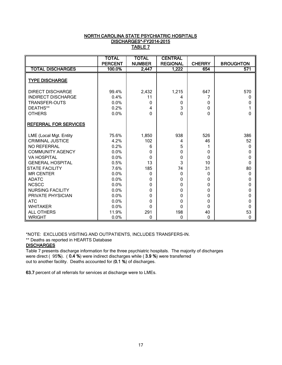## NORTH CAROLINA STATE PSYCHIATRIC HOSPITALS DISCHARGES\*-FY2014-2015 TABLE 7

|                              | <b>TOTAL</b>   | <b>TOTAL</b>  | <b>CENTRAL</b>  |               |                  |
|------------------------------|----------------|---------------|-----------------|---------------|------------------|
|                              | <b>PERCENT</b> | <b>NUMBER</b> | <b>REGIONAL</b> | <b>CHERRY</b> | <b>BROUGHTON</b> |
| <b>TOTAL DISCHARGES</b>      | 100.0%         | 2,447         | 1,222           | 654           | 571              |
| <b>TYPE DISCHARGE</b>        |                |               |                 |               |                  |
| <b>DIRECT DISCHARGE</b>      | 99.4%          | 2,432         | 1,215           | 647           | 570              |
| <b>INDIRECT DISCHARGE</b>    | 0.4%           | 11            | 4               | 7             | 0                |
| TRANSFER-OUTS                | 0.0%           | $\Omega$      | 0               | 0             | 0                |
| DEATHS**                     | 0.2%           | 4             | 3               | $\Omega$      |                  |
| <b>OTHERS</b>                | 0.0%           | $\Omega$      | $\overline{0}$  | $\Omega$      | $\Omega$         |
| <b>REFERRAL FOR SERVICES</b> |                |               |                 |               |                  |
| LME (Local Mgt. Entity       | 75.6%          | 1,850         | 938             | 526           | 386              |
| <b>CRIMINAL JUSTICE</b>      | 4.2%           | 102           | 4               | 46            | 52               |
| NO REFERRAL                  | 0.2%           | 6             | 5               |               | 0                |
| <b>COMMUNITY AGENCY</b>      | 0.0%           | 0             | 0               | 0             | 0                |
| <b>VA HOSPITAL</b>           | 0.0%           | 0             | 0               | $\Omega$      | 0                |
| <b>GENERAL HOSPITAL</b>      | 0.5%           | 13            | 3               | 10            | 0                |
| <b>STATE FACILITY</b>        | 7.6%           | 185           | 74              | 31            | 80               |
| <b>MR CENTER</b>             | 0.0%           | 0             | $\mathbf{0}$    | 0             | $\mathbf{0}$     |
| <b>ADATC</b>                 | 0.0%           | 0             | $\mathbf 0$     | $\Omega$      | 0                |
| <b>NCSCC</b>                 | 0.0%           | 0             | 0               | $\Omega$      | 0                |
| NURSING FACILITY             | 0.0%           | 0             | $\mathbf 0$     | 0             | 0                |
| PRIVATE PHYSICIAN            | 0.0%           | 0             | 0               | 0             | 0                |
| <b>ATC</b>                   | 0.0%           | 0             | $\mathbf 0$     | 0             | 0                |
| <b>WHITAKER</b>              | 0.0%           | $\Omega$      | $\Omega$        | $\Omega$      | 0                |
| <b>ALL OTHERS</b>            | 11.9%          | 291           | 198             | 40            | 53               |
| <b>WRIGHT</b>                | 0.0%           | 0             | $\mathbf 0$     | 0             | 0                |

\*NOTE: EXCLUDES VISITING AND OUTPATIENTS, INCLUDES TRANSFERS-IN.

\*\* Deaths as reported in HEARTS Database

## **DISCHARGES**

Table 7 presents discharge information for the three psychiatric hospitals. The majority of discharges were direct ( 95%). ( 0.4 %) were indirect discharges while ( 3.9 %) were transferred out to another facility. Deaths accounted for (0.1 %) of discharges.

63.7 percent of all referrals for services at discharge were to LMEs.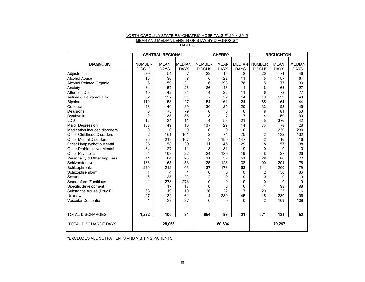#### NORTH CAROLINA STATE PSYCHIATRIC HOSPITALS FY2014-2015 MEAN AND MEDIAN LENGTH OF STAY BY DIAGNOSIS \* TABLE 8

|                                  |                                | <b>CENTRAL REGIONAL</b>    |                              | <b>CHERRY</b>                  |                            |                              | <b>BROUGHTON</b>               |                            |                              |
|----------------------------------|--------------------------------|----------------------------|------------------------------|--------------------------------|----------------------------|------------------------------|--------------------------------|----------------------------|------------------------------|
| <b>DIAGNOSIS</b>                 | <b>NUMBER</b><br><b>DISCHS</b> | <b>MEAN</b><br><b>DAYS</b> | <b>MEDIAN</b><br><b>DAYS</b> | <b>NUMBER</b><br><b>DISCHS</b> | <b>MEAN</b><br><b>DAYS</b> | <b>MEDIAN</b><br><b>DAYS</b> | <b>NUMBER</b><br><b>DISCHS</b> | <b>MEAN</b><br><b>DAYS</b> | <b>MEDIAN</b><br><b>DAYS</b> |
| Adjustment                       | 39                             | 54                         | 7                            | 23                             | 15                         | 8                            | 20                             | 74                         | 46                           |
| <b>Alcohol Abuse</b>             | 15                             | 30                         | 8                            | 6                              | 23                         | 11                           | 5                              | 157                        | 64                           |
| <b>Alcohol Related Organic</b>   | 6                              | 59                         | 31                           | 6                              | 298                        | 78                           | 5                              | 77                         | 30                           |
| Anxiety                          | 64                             | 57                         | 26                           | 26                             | 46                         | 11                           | 16                             | 65                         | 27                           |
| <b>Attention Deficit</b>         | 40                             | 42                         | 34                           | 4                              | 22                         | 11                           | 6                              | 78                         | 77                           |
| Autism & Pervasive Dev.          | 22                             | 127                        | 31                           | 7                              | 32                         | 14                           | 19                             | 129                        | 40                           |
| Bipolar                          | 110                            | 53                         | 27                           | 54                             | 61                         | 24                           | 65                             | 64                         | 44                           |
| Conduct                          | 48                             | 46                         | 39                           | 36                             | 25                         | 20                           | 33                             | 92                         | 46                           |
| Delusional                       | 3                              | 78                         | 79                           | 0                              | $\Omega$                   | $\Omega$                     | 8                              | 81                         | 53                           |
| Dysthymia                        | $\overline{2}$                 | 35                         | 35                           | 3                              | 7                          | 7                            | 4                              | 150                        | 90                           |
| I/DD                             | 12                             | 34                         | 11                           | 4                              | 53                         | 21                           | 5                              | 376                        | 42                           |
| Major Depression                 | 153                            | 49                         | 16                           | 137                            | 29                         | 14                           | 76                             | 78                         | 28                           |
| Medication induced disorders     | 0                              | 0                          | $\mathbf{0}$                 | 0                              | $\mathbf{0}$               | $\Omega$                     | 1                              | 230                        | 230                          |
| Other Childhood Disorders        | $\overline{2}$                 | 161                        | 161                          | $\overline{2}$                 | 74                         | 75                           | $\overline{2}$                 | 132                        | 132                          |
| <b>Other Mental Disorders</b>    | 25                             | 219                        | 107                          | 3                              | 150                        | 147                          | $\overline{c}$                 | 16                         | 16                           |
| Other Nonpsychotic/Mental        | 36                             | 58                         | 39                           | 11                             | 45                         | 29                           | 18                             | 57                         | 38                           |
| <b>Other Problems Not Mental</b> | 34                             | 27                         | 11                           | 3                              | 31                         | 19                           | $\mathbf{0}$                   | $\mathbf{0}$               | $\mathbf{0}$                 |
| Other Psychotic                  | 64                             | 103                        | 22                           | 24                             | 189                        | 19                           | 8                              | 27                         | 26                           |
| Personality & Other Impulses     | 44                             | 64                         | 23                           | 11                             | 57                         | 51                           | 28                             | 86                         | 22                           |
| Schizoaffective                  | 186                            | 165                        | 53                           | 125                            | 128                        | 38                           | 90                             | 201                        | 76                           |
| Schizophrenic                    | 220                            | 212                        | 63                           | 137                            | 178                        | 63                           | 111                            | 260                        | 79                           |
| Schizophreniform                 |                                | 4                          | $\overline{4}$               | 0                              | 0                          | $\mathbf{0}$                 | $\overline{2}$                 | 36                         | 36                           |
| Sexual                           | 3                              | 25                         | 22                           | 2                              | 9                          | 9                            | 0                              | $\Omega$                   | $\mathbf{0}$                 |
| Somatoform/Factitious            | 1                              | 273                        | 273                          | 0                              | $\Omega$                   | $\mathbf{0}$                 | 0                              | 0                          | $\mathbf{0}$                 |
| Specific development             |                                | 17                         | 17                           | 0                              | $\Omega$                   | $\mathbf{0}$                 | 1                              | 98                         | 98                           |
| Substance Abuse (Drugs)          | 63                             | 19                         | 10                           | 26                             | 22                         | 7                            | 29                             | 25                         | 16                           |
| Unknown                          | 27                             | 132                        | 61                           | 4                              | 280                        | 145                          | 15                             | 280                        | 106                          |
| Vascular Dementia                | 1                              | 37                         | 37                           | $\Omega$                       | $\Omega$                   | $\Omega$                     | $\mathfrak{p}$                 | 109                        | 109                          |
| <b>TOTAL DISCHARGES</b>          | 1,222                          | 105                        | 31                           | 654                            | 93                         | 21                           | 571                            | 139                        | 52                           |
| <b>TOTAL DISCHARGE DAYS</b>      | 128,066                        |                            | 60,636                       |                                |                            | 79,297                       |                                |                            |                              |

\*EXCLUDES ALL OUTPATIENTS AND VISITING PATIENTS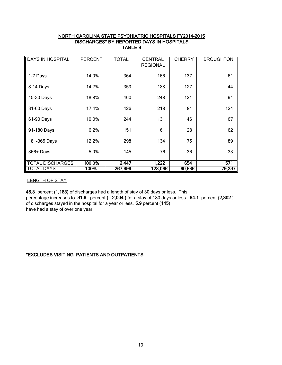## NORTH CAROLINA STATE PSYCHIATRIC HOSPITALS FY2014-2015 DISCHARGES\* BY REPORTED DAYS IN HOSPITALS TABLE 9

| <b>DAYS IN HOSPITAL</b> | <b>PERCENT</b> | <b>TOTAL</b> | <b>CENTRAL</b>  | <b>CHERRY</b> | <b>BROUGHTON</b> |
|-------------------------|----------------|--------------|-----------------|---------------|------------------|
|                         |                |              | <b>REGIONAL</b> |               |                  |
| 1-7 Days                | 14.9%          | 364          | 166             | 137           | 61               |
| 8-14 Days               | 14.7%          | 359          | 188             | 127           | 44               |
| 15-30 Days              | 18.8%          | 460          | 248             | 121           | 91               |
| 31-60 Days              | 17.4%          | 426          | 218             | 84            | 124              |
| 61-90 Days              | 10.0%          | 244          | 131             | 46            | 67               |
| 91-180 Days             | 6.2%           | 151          | 61              | 28            | 62               |
| 181-365 Days            | 12.2%          | 298          | 134             | 75            | 89               |
| $366 +$ Days            | 5.9%           | 145          | 76              | 36            | 33               |
| <b>TOTAL DISCHARGES</b> | 100.0%         | 2,447        | 1,222           | 654           | 571              |
| <b>TOTAL DAYS</b>       | 100%           | 267,999      | 128,066         | 60,636        | 79,297           |

LENGTH OF STAY

48.3 percent (1,183) of discharges had a length of stay of 30 days or less. This percentage increases to 91.9 percent ( 2,004 ) for a stay of 180 days or less. 94.1 percent (2,302 ) of discharges stayed in the hospital for a year or less. 5.9 percent (145) have had a stay of over one year.

## \*EXCLUDES VISITING PATIENTS AND OUTPATIENTS